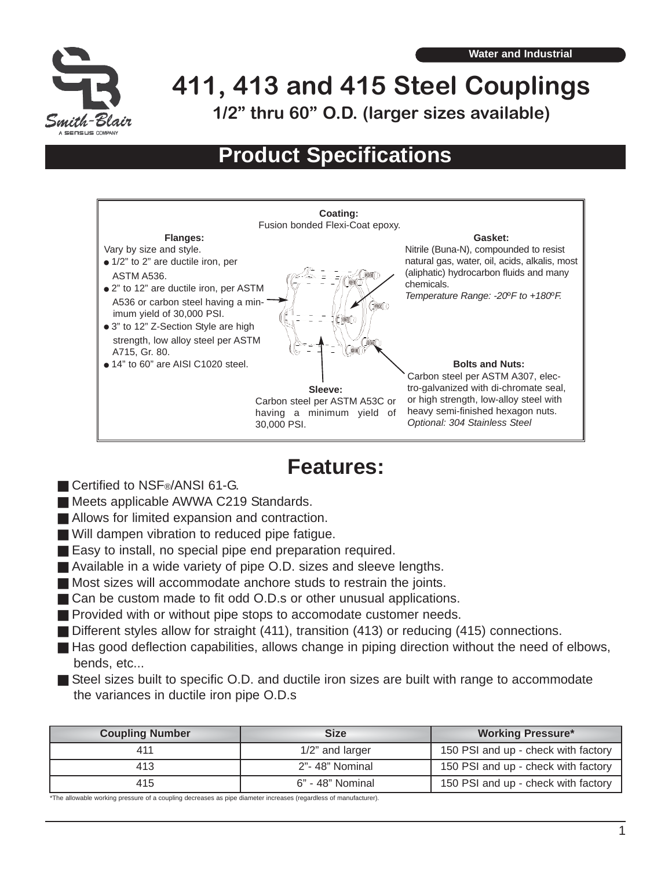

**411, 413 and 415 Steel Couplings 1/2" thru 60" O.D. (larger sizes available)**

# **Product Specifications**



# **Features:**

- Certified to NSF<sup>®</sup>/ANSI 61-G.
- **Meets applicable AWWA C219 Standards.**
- Allows for limited expansion and contraction.
- Will dampen vibration to reduced pipe fatigue.
- Easy to install, no special pipe end preparation required.
- Available in a wide variety of pipe O.D. sizes and sleeve lengths.
- Most sizes will accommodate anchore studs to restrain the joints.
- Can be custom made to fit odd O.D.s or other unusual applications.
- **Provided with or without pipe stops to accomodate customer needs.**
- Different styles allow for straight (411), transition (413) or reducing (415) connections.
- Has good deflection capabilities, allows change in piping direction without the need of elbows, bends, etc...
- Steel sizes built to specific O.D. and ductile iron sizes are built with range to accommodate the variances in ductile iron pipe O.D.s

| <b>Coupling Number</b> | <b>Size</b>      | <b>Working Pressure*</b>            |
|------------------------|------------------|-------------------------------------|
| 411                    | 1/2" and larger  | 150 PSI and up - check with factory |
| 413                    | 2"-48" Nominal   | 150 PSI and up - check with factory |
| 415                    | 6" - 48" Nominal | 150 PSI and up - check with factory |

\*The allowable working pressure of a coupling decreases as pipe diameter increases (regardless of manufacturer).